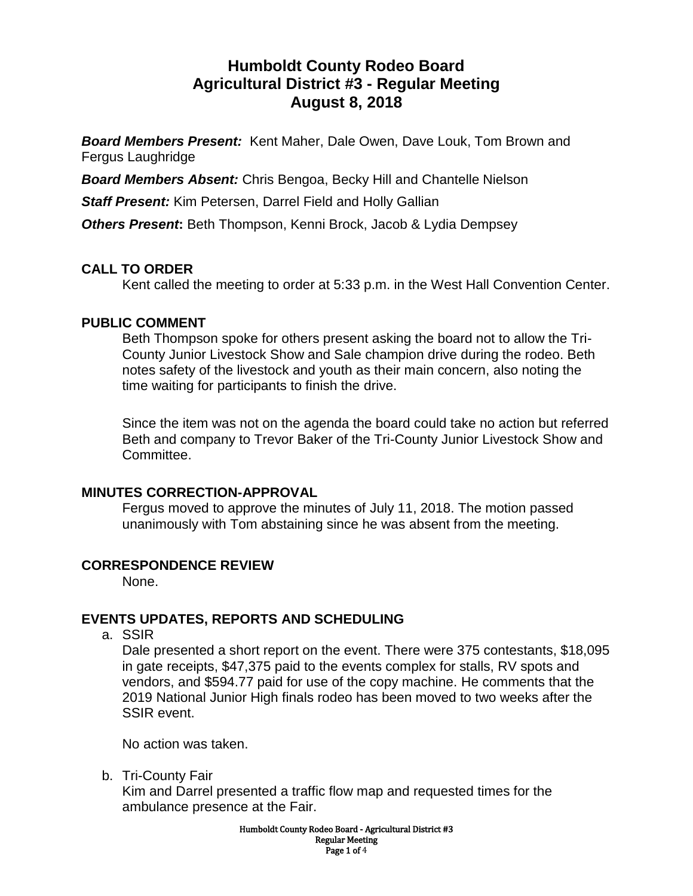# **Humboldt County Rodeo Board Agricultural District #3 - Regular Meeting August 8, 2018**

*Board Members Present:* Kent Maher, Dale Owen, Dave Louk, Tom Brown and Fergus Laughridge

*Board Members Absent:* Chris Bengoa, Becky Hill and Chantelle Nielson

*Staff Present:* Kim Petersen, Darrel Field and Holly Gallian

**Others Present:** Beth Thompson, Kenni Brock, Jacob & Lydia Dempsey

## **CALL TO ORDER**

Kent called the meeting to order at 5:33 p.m. in the West Hall Convention Center.

#### **PUBLIC COMMENT**

Beth Thompson spoke for others present asking the board not to allow the Tri-County Junior Livestock Show and Sale champion drive during the rodeo. Beth notes safety of the livestock and youth as their main concern, also noting the time waiting for participants to finish the drive.

Since the item was not on the agenda the board could take no action but referred Beth and company to Trevor Baker of the Tri-County Junior Livestock Show and Committee.

#### **MINUTES CORRECTION-APPROVAL**

Fergus moved to approve the minutes of July 11, 2018. The motion passed unanimously with Tom abstaining since he was absent from the meeting.

#### **CORRESPONDENCE REVIEW**

None.

## **EVENTS UPDATES, REPORTS AND SCHEDULING**

a. SSIR

Dale presented a short report on the event. There were 375 contestants, \$18,095 in gate receipts, \$47,375 paid to the events complex for stalls, RV spots and vendors, and \$594.77 paid for use of the copy machine. He comments that the 2019 National Junior High finals rodeo has been moved to two weeks after the SSIR event.

No action was taken.

b. Tri-County Fair

Kim and Darrel presented a traffic flow map and requested times for the ambulance presence at the Fair.

> Humboldt County Rodeo Board - Agricultural District #3 Regular Meeting Page 1 of 4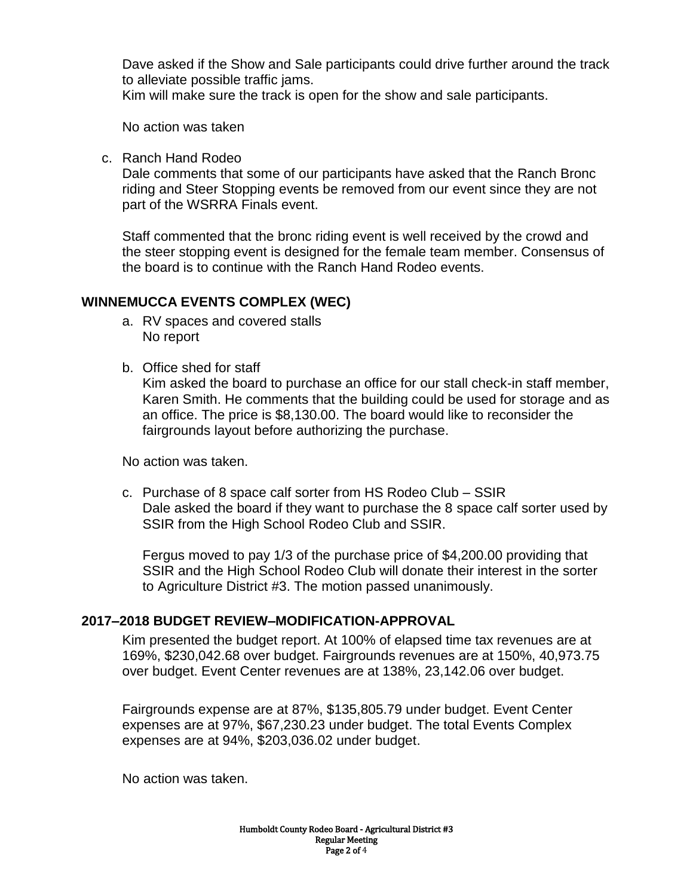Dave asked if the Show and Sale participants could drive further around the track to alleviate possible traffic jams.

Kim will make sure the track is open for the show and sale participants.

No action was taken

c. Ranch Hand Rodeo

Dale comments that some of our participants have asked that the Ranch Bronc riding and Steer Stopping events be removed from our event since they are not part of the WSRRA Finals event.

Staff commented that the bronc riding event is well received by the crowd and the steer stopping event is designed for the female team member. Consensus of the board is to continue with the Ranch Hand Rodeo events.

#### **WINNEMUCCA EVENTS COMPLEX (WEC)**

- a. RV spaces and covered stalls No report
- b. Office shed for staff

Kim asked the board to purchase an office for our stall check-in staff member, Karen Smith. He comments that the building could be used for storage and as an office. The price is \$8,130.00. The board would like to reconsider the fairgrounds layout before authorizing the purchase.

No action was taken.

c. Purchase of 8 space calf sorter from HS Rodeo Club – SSIR Dale asked the board if they want to purchase the 8 space calf sorter used by SSIR from the High School Rodeo Club and SSIR.

Fergus moved to pay 1/3 of the purchase price of \$4,200.00 providing that SSIR and the High School Rodeo Club will donate their interest in the sorter to Agriculture District #3. The motion passed unanimously.

#### **2017–2018 BUDGET REVIEW–MODIFICATION-APPROVAL**

Kim presented the budget report. At 100% of elapsed time tax revenues are at 169%, \$230,042.68 over budget. Fairgrounds revenues are at 150%, 40,973.75 over budget. Event Center revenues are at 138%, 23,142.06 over budget.

Fairgrounds expense are at 87%, \$135,805.79 under budget. Event Center expenses are at 97%, \$67,230.23 under budget. The total Events Complex expenses are at 94%, \$203,036.02 under budget.

No action was taken.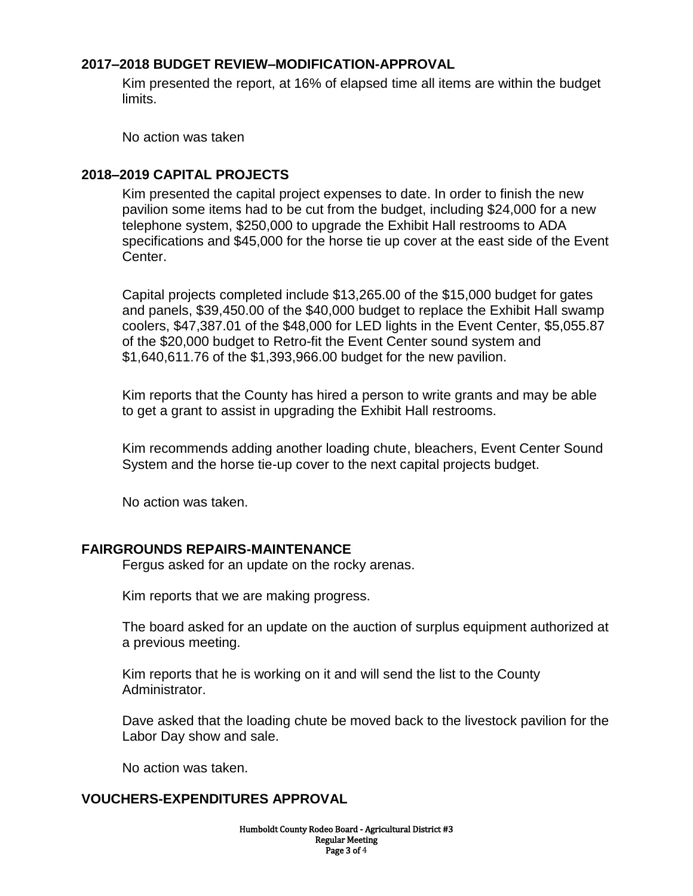#### **2017–2018 BUDGET REVIEW–MODIFICATION-APPROVAL**

Kim presented the report, at 16% of elapsed time all items are within the budget limits.

No action was taken

### **2018–2019 CAPITAL PROJECTS**

Kim presented the capital project expenses to date. In order to finish the new pavilion some items had to be cut from the budget, including \$24,000 for a new telephone system, \$250,000 to upgrade the Exhibit Hall restrooms to ADA specifications and \$45,000 for the horse tie up cover at the east side of the Event Center.

Capital projects completed include \$13,265.00 of the \$15,000 budget for gates and panels, \$39,450.00 of the \$40,000 budget to replace the Exhibit Hall swamp coolers, \$47,387.01 of the \$48,000 for LED lights in the Event Center, \$5,055.87 of the \$20,000 budget to Retro-fit the Event Center sound system and \$1,640,611.76 of the \$1,393,966.00 budget for the new pavilion.

Kim reports that the County has hired a person to write grants and may be able to get a grant to assist in upgrading the Exhibit Hall restrooms.

Kim recommends adding another loading chute, bleachers, Event Center Sound System and the horse tie-up cover to the next capital projects budget.

No action was taken.

#### **FAIRGROUNDS REPAIRS-MAINTENANCE**

Fergus asked for an update on the rocky arenas.

Kim reports that we are making progress.

The board asked for an update on the auction of surplus equipment authorized at a previous meeting.

Kim reports that he is working on it and will send the list to the County Administrator.

Dave asked that the loading chute be moved back to the livestock pavilion for the Labor Day show and sale.

No action was taken.

#### **VOUCHERS-EXPENDITURES APPROVAL**

Humboldt County Rodeo Board - Agricultural District #3 Regular Meeting Page 3 of 4